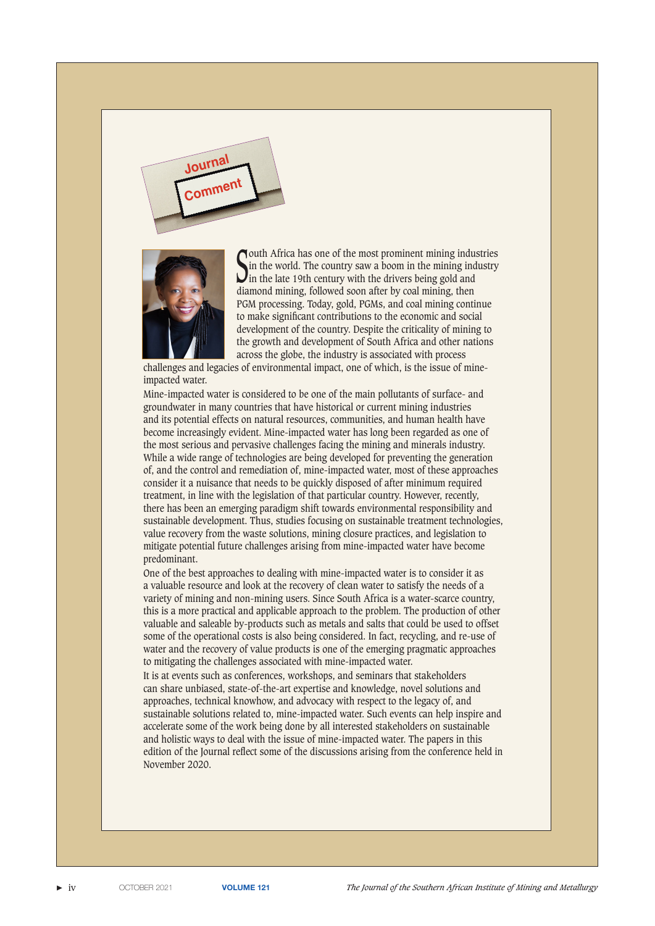



South Africa has one of the most prominent mining industries<br>Sin the world. The country saw a boom in the mining industry<br>in the late 19th century with the drivers being gold and in the world. The country saw a boom in the mining industry in the late 19th century with the drivers being gold and diamond mining, followed soon after by coal mining, then PGM processing. Today, gold, PGMs, and coal mining continue to make significant contributions to the economic and social development of the country. Despite the criticality of mining to the growth and development of South Africa and other nations across the globe, the industry is associated with process

challenges and legacies of environmental impact, one of which, is the issue of mineimpacted water.

Mine-impacted water is considered to be one of the main pollutants of surface- and groundwater in many countries that have historical or current mining industries and its potential effects on natural resources, communities, and human health have become increasingly evident. Mine-impacted water has long been regarded as one of the most serious and pervasive challenges facing the mining and minerals industry. While a wide range of technologies are being developed for preventing the generation of, and the control and remediation of, mine-impacted water, most of these approaches consider it a nuisance that needs to be quickly disposed of after minimum required treatment, in line with the legislation of that particular country. However, recently, there has been an emerging paradigm shift towards environmental responsibility and sustainable development. Thus, studies focusing on sustainable treatment technologies, value recovery from the waste solutions, mining closure practices, and legislation to mitigate potential future challenges arising from mine-impacted water have become predominant.

One of the best approaches to dealing with mine-impacted water is to consider it as a valuable resource and look at the recovery of clean water to satisfy the needs of a variety of mining and non-mining users. Since South Africa is a water-scarce country, this is a more practical and applicable approach to the problem. The production of other valuable and saleable by-products such as metals and salts that could be used to offset some of the operational costs is also being considered. In fact, recycling, and re-use of water and the recovery of value products is one of the emerging pragmatic approaches to mitigating the challenges associated with mine-impacted water.

It is at events such as conferences, workshops, and seminars that stakeholders can share unbiased, state-of-the-art expertise and knowledge, novel solutions and approaches, technical knowhow, and advocacy with respect to the legacy of, and sustainable solutions related to, mine-impacted water. Such events can help inspire and accelerate some of the work being done by all interested stakeholders on sustainable and holistic ways to deal with the issue of mine-impacted water. The papers in this edition of the Journal reflect some of the discussions arising from the conference held in November 2020.